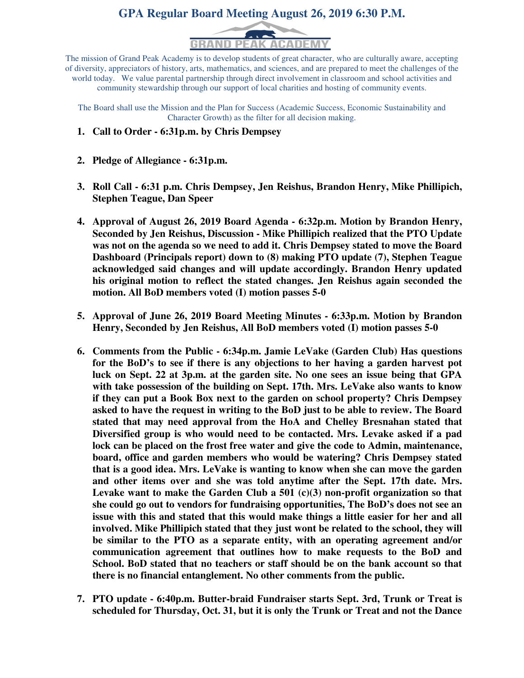# **GPA Regular Board Meeting August 26, 2019 6:30 P.M.**



The mission of Grand Peak Academy is to develop students of great character, who are culturally aware, accepting of diversity, appreciators of history, arts, mathematics, and sciences, and are prepared to meet the challenges of the world today. We value parental partnership through direct involvement in classroom and school activities and community stewardship through our support of local charities and hosting of community events.

The Board shall use the Mission and the Plan for Success (Academic Success, Economic Sustainability and Character Growth) as the filter for all decision making.

- **1. Call to Order 6:31p.m. by Chris Dempsey**
- **2. Pledge of Allegiance 6:31p.m.**
- **3. Roll Call 6:31 p.m. Chris Dempsey, Jen Reishus, Brandon Henry, Mike Phillipich, Stephen Teague, Dan Speer**
- **4. Approval of August 26, 2019 Board Agenda 6:32p.m. Motion by Brandon Henry, Seconded by Jen Reishus, Discussion - Mike Phillipich realized that the PTO Update was not on the agenda so we need to add it. Chris Dempsey stated to move the Board Dashboard (Principals report) down to (8) making PTO update (7), Stephen Teague acknowledged said changes and will update accordingly. Brandon Henry updated his original motion to reflect the stated changes. Jen Reishus again seconded the motion. All BoD members voted (I) motion passes 5-0**
- **5. Approval of June 26, 2019 Board Meeting Minutes 6:33p.m. Motion by Brandon Henry, Seconded by Jen Reishus, All BoD members voted (I) motion passes 5-0**
- **6. Comments from the Public 6:34p.m. Jamie LeVake (Garden Club) Has questions for the BoD's to see if there is any objections to her having a garden harvest pot luck on Sept. 22 at 3p.m. at the garden site. No one sees an issue being that GPA with take possession of the building on Sept. 17th. Mrs. LeVake also wants to know if they can put a Book Box next to the garden on school property? Chris Dempsey asked to have the request in writing to the BoD just to be able to review. The Board stated that may need approval from the HoA and Chelley Bresnahan stated that Diversified group is who would need to be contacted. Mrs. Levake asked if a pad lock can be placed on the frost free water and give the code to Admin, maintenance, board, office and garden members who would be watering? Chris Dempsey stated that is a good idea. Mrs. LeVake is wanting to know when she can move the garden and other items over and she was told anytime after the Sept. 17th date. Mrs. Levake want to make the Garden Club a 501 (c)(3) non-profit organization so that she could go out to vendors for fundraising opportunities, The BoD's does not see an issue with this and stated that this would make things a little easier for her and all involved. Mike Phillipich stated that they just wont be related to the school, they will be similar to the PTO as a separate entity, with an operating agreement and/or communication agreement that outlines how to make requests to the BoD and School. BoD stated that no teachers or staff should be on the bank account so that there is no financial entanglement. No other comments from the public.**
- **7. PTO update 6:40p.m. Butter-braid Fundraiser starts Sept. 3rd, Trunk or Treat is scheduled for Thursday, Oct. 31, but it is only the Trunk or Treat and not the Dance**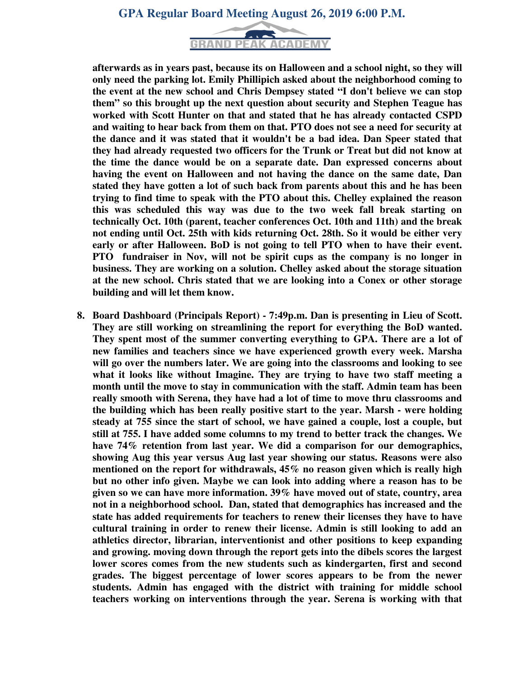### **GPA Regular Board Meeting August 26, 2019 6:00 P.M.**



**afterwards as in years past, because its on Halloween and a school night, so they will only need the parking lot. Emily Phillipich asked about the neighborhood coming to the event at the new school and Chris Dempsey stated "I don't believe we can stop them" so this brought up the next question about security and Stephen Teague has worked with Scott Hunter on that and stated that he has already contacted CSPD and waiting to hear back from them on that. PTO does not see a need for security at the dance and it was stated that it wouldn't be a bad idea. Dan Speer stated that they had already requested two officers for the Trunk or Treat but did not know at the time the dance would be on a separate date. Dan expressed concerns about having the event on Halloween and not having the dance on the same date, Dan stated they have gotten a lot of such back from parents about this and he has been trying to find time to speak with the PTO about this. Chelley explained the reason this was scheduled this way was due to the two week fall break starting on technically Oct. 10th (parent, teacher conferences Oct. 10th and 11th) and the break not ending until Oct. 25th with kids returning Oct. 28th. So it would be either very early or after Halloween. BoD is not going to tell PTO when to have their event. PTO fundraiser in Nov, will not be spirit cups as the company is no longer in business. They are working on a solution. Chelley asked about the storage situation at the new school. Chris stated that we are looking into a Conex or other storage building and will let them know.** 

**8. Board Dashboard (Principals Report) - 7:49p.m. Dan is presenting in Lieu of Scott. They are still working on streamlining the report for everything the BoD wanted. They spent most of the summer converting everything to GPA. There are a lot of new families and teachers since we have experienced growth every week. Marsha will go over the numbers later. We are going into the classrooms and looking to see what it looks like without Imagine. They are trying to have two staff meeting a month until the move to stay in communication with the staff. Admin team has been really smooth with Serena, they have had a lot of time to move thru classrooms and the building which has been really positive start to the year. Marsh - were holding steady at 755 since the start of school, we have gained a couple, lost a couple, but still at 755. I have added some columns to my trend to better track the changes. We have 74% retention from last year. We did a comparison for our demographics, showing Aug this year versus Aug last year showing our status. Reasons were also mentioned on the report for withdrawals, 45% no reason given which is really high but no other info given. Maybe we can look into adding where a reason has to be given so we can have more information. 39% have moved out of state, country, area not in a neighborhood school. Dan, stated that demographics has increased and the state has added requirements for teachers to renew their licenses they have to have cultural training in order to renew their license. Admin is still looking to add an athletics director, librarian, interventionist and other positions to keep expanding and growing. moving down through the report gets into the dibels scores the largest lower scores comes from the new students such as kindergarten, first and second grades. The biggest percentage of lower scores appears to be from the newer students. Admin has engaged with the district with training for middle school teachers working on interventions through the year. Serena is working with that**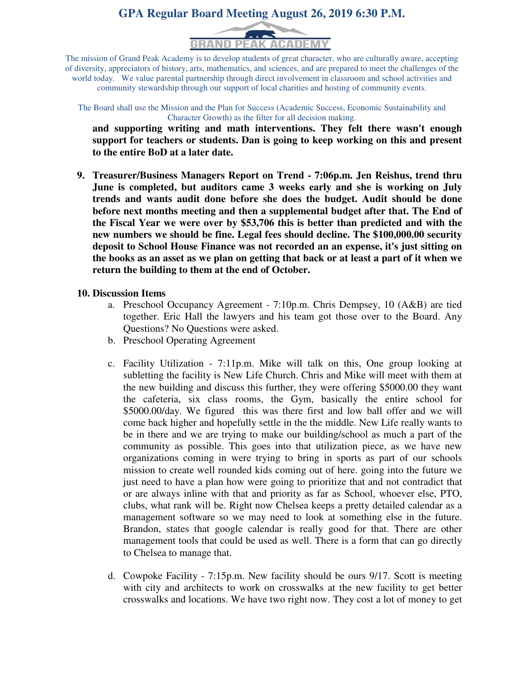# **GPA Regular Board Meeting August 26, 2019 6:30 P.M.**



The mission of Grand Peak Academy is to develop students of great character, who are culturally aware, accepting of diversity, appreciators of history, arts, mathematics, and sciences, and are prepared to meet the challenges of the world today. We value parental partnership through direct involvement in classroom and school activities and community stewardship through our support of local charities and hosting of community events.

The Board shall use the Mission and the Plan for Success (Academic Success, Economic Sustainability and Character Growth) as the filter for all decision making.

**and supporting writing and math interventions. They felt there wasn't enough support for teachers or students. Dan is going to keep working on this and present to the entire BoD at a later date.** 

**9. Treasurer/Business Managers Report on Trend - 7:06p.m. Jen Reishus, trend thru June is completed, but auditors came 3 weeks early and she is working on July trends and wants audit done before she does the budget. Audit should be done before next months meeting and then a supplemental budget after that. The End of the Fiscal Year we were over by \$53,706 this is better than predicted and with the new numbers we should be fine. Legal fees should decline. The \$100,000.00 security deposit to School House Finance was not recorded an an expense, it's just sitting on the books as an asset as we plan on getting that back or at least a part of it when we return the building to them at the end of October.** 

#### **10. Discussion Items**

- a. Preschool Occupancy Agreement 7:10p.m. Chris Dempsey, 10 (A&B) are tied together. Eric Hall the lawyers and his team got those over to the Board. Any Questions? No Questions were asked.
- b. Preschool Operating Agreement
- c. Facility Utilization 7:11p.m. Mike will talk on this, One group looking at subletting the facility is New Life Church. Chris and Mike will meet with them at the new building and discuss this further, they were offering \$5000.00 they want the cafeteria, six class rooms, the Gym, basically the entire school for \$5000.00/day. We figured this was there first and low ball offer and we will come back higher and hopefully settle in the the middle. New Life really wants to be in there and we are trying to make our building/school as much a part of the community as possible. This goes into that utilization piece, as we have new organizations coming in were trying to bring in sports as part of our schools mission to create well rounded kids coming out of here. going into the future we just need to have a plan how were going to prioritize that and not contradict that or are always inline with that and priority as far as School, whoever else, PTO, clubs, what rank will be. Right now Chelsea keeps a pretty detailed calendar as a management software so we may need to look at something else in the future. Brandon, states that google calendar is really good for that. There are other management tools that could be used as well. There is a form that can go directly to Chelsea to manage that.
- d. Cowpoke Facility 7:15p.m. New facility should be ours 9/17. Scott is meeting with city and architects to work on crosswalks at the new facility to get better crosswalks and locations. We have two right now. They cost a lot of money to get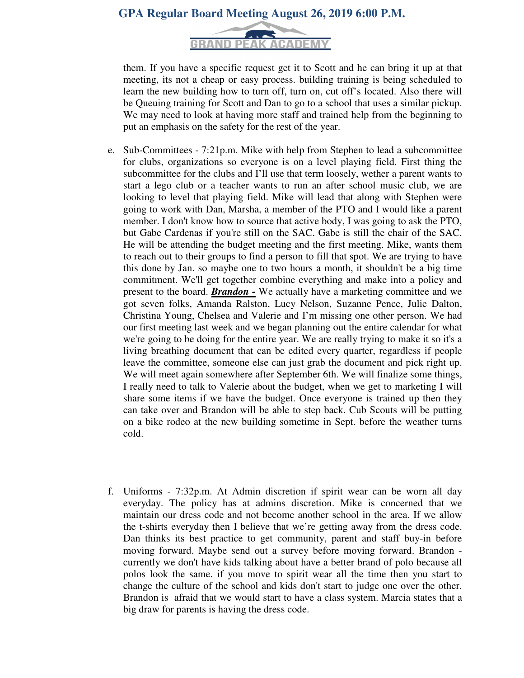## **GPA Regular Board Meeting August 26, 2019 6:00 P.M.**



them. If you have a specific request get it to Scott and he can bring it up at that meeting, its not a cheap or easy process. building training is being scheduled to learn the new building how to turn off, turn on, cut off's located. Also there will be Queuing training for Scott and Dan to go to a school that uses a similar pickup. We may need to look at having more staff and trained help from the beginning to put an emphasis on the safety for the rest of the year.

- e. Sub-Committees 7:21p.m. Mike with help from Stephen to lead a subcommittee for clubs, organizations so everyone is on a level playing field. First thing the subcommittee for the clubs and I'll use that term loosely, wether a parent wants to start a lego club or a teacher wants to run an after school music club, we are looking to level that playing field. Mike will lead that along with Stephen were going to work with Dan, Marsha, a member of the PTO and I would like a parent member. I don't know how to source that active body, I was going to ask the PTO, but Gabe Cardenas if you're still on the SAC. Gabe is still the chair of the SAC. He will be attending the budget meeting and the first meeting. Mike, wants them to reach out to their groups to find a person to fill that spot. We are trying to have this done by Jan. so maybe one to two hours a month, it shouldn't be a big time commitment. We'll get together combine everything and make into a policy and present to the board. *Brandon -* We actually have a marketing committee and we got seven folks, Amanda Ralston, Lucy Nelson, Suzanne Pence, Julie Dalton, Christina Young, Chelsea and Valerie and I'm missing one other person. We had our first meeting last week and we began planning out the entire calendar for what we're going to be doing for the entire year. We are really trying to make it so it's a living breathing document that can be edited every quarter, regardless if people leave the committee, someone else can just grab the document and pick right up. We will meet again somewhere after September 6th. We will finalize some things, I really need to talk to Valerie about the budget, when we get to marketing I will share some items if we have the budget. Once everyone is trained up then they can take over and Brandon will be able to step back. Cub Scouts will be putting on a bike rodeo at the new building sometime in Sept. before the weather turns cold.
- f. Uniforms 7:32p.m. At Admin discretion if spirit wear can be worn all day everyday. The policy has at admins discretion. Mike is concerned that we maintain our dress code and not become another school in the area. If we allow the t-shirts everyday then I believe that we're getting away from the dress code. Dan thinks its best practice to get community, parent and staff buy-in before moving forward. Maybe send out a survey before moving forward. Brandon currently we don't have kids talking about have a better brand of polo because all polos look the same. if you move to spirit wear all the time then you start to change the culture of the school and kids don't start to judge one over the other. Brandon is afraid that we would start to have a class system. Marcia states that a big draw for parents is having the dress code.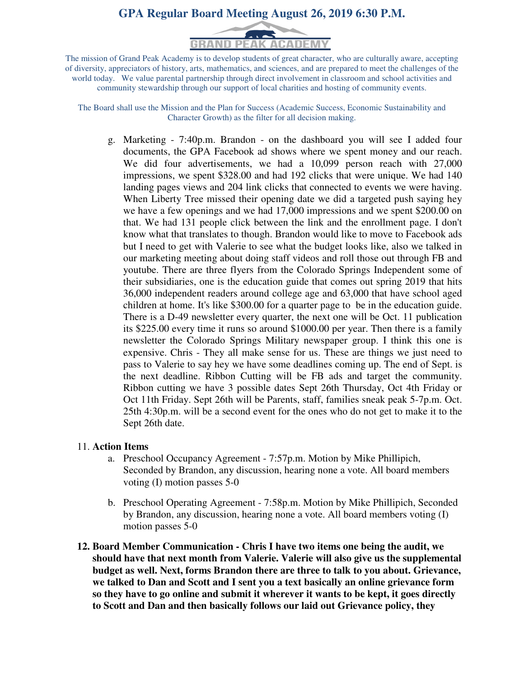# **GPA Regular Board Meeting August 26, 2019 6:30 P.M.**



The mission of Grand Peak Academy is to develop students of great character, who are culturally aware, accepting of diversity, appreciators of history, arts, mathematics, and sciences, and are prepared to meet the challenges of the world today. We value parental partnership through direct involvement in classroom and school activities and community stewardship through our support of local charities and hosting of community events.

The Board shall use the Mission and the Plan for Success (Academic Success, Economic Sustainability and Character Growth) as the filter for all decision making.

g. Marketing - 7:40p.m. Brandon - on the dashboard you will see I added four documents, the GPA Facebook ad shows where we spent money and our reach. We did four advertisements, we had a 10,099 person reach with 27,000 impressions, we spent \$328.00 and had 192 clicks that were unique. We had 140 landing pages views and 204 link clicks that connected to events we were having. When Liberty Tree missed their opening date we did a targeted push saying hey we have a few openings and we had 17,000 impressions and we spent \$200.00 on that. We had 131 people click between the link and the enrollment page. I don't know what that translates to though. Brandon would like to move to Facebook ads but I need to get with Valerie to see what the budget looks like, also we talked in our marketing meeting about doing staff videos and roll those out through FB and youtube. There are three flyers from the Colorado Springs Independent some of their subsidiaries, one is the education guide that comes out spring 2019 that hits 36,000 independent readers around college age and 63,000 that have school aged children at home. It's like \$300.00 for a quarter page to be in the education guide. There is a D-49 newsletter every quarter, the next one will be Oct. 11 publication its \$225.00 every time it runs so around \$1000.00 per year. Then there is a family newsletter the Colorado Springs Military newspaper group. I think this one is expensive. Chris - They all make sense for us. These are things we just need to pass to Valerie to say hey we have some deadlines coming up. The end of Sept. is the next deadline. Ribbon Cutting will be FB ads and target the community. Ribbon cutting we have 3 possible dates Sept 26th Thursday, Oct 4th Friday or Oct 11th Friday. Sept 26th will be Parents, staff, families sneak peak 5-7p.m. Oct. 25th 4:30p.m. will be a second event for the ones who do not get to make it to the Sept 26th date.

#### 11. **Action Items**

- a. Preschool Occupancy Agreement 7:57p.m. Motion by Mike Phillipich, Seconded by Brandon, any discussion, hearing none a vote. All board members voting (I) motion passes 5-0
- b. Preschool Operating Agreement 7:58p.m. Motion by Mike Phillipich, Seconded by Brandon, any discussion, hearing none a vote. All board members voting (I) motion passes 5-0
- **12. Board Member Communication Chris I have two items one being the audit, we should have that next month from Valerie. Valerie will also give us the supplemental budget as well. Next, forms Brandon there are three to talk to you about. Grievance, we talked to Dan and Scott and I sent you a text basically an online grievance form so they have to go online and submit it wherever it wants to be kept, it goes directly to Scott and Dan and then basically follows our laid out Grievance policy, they**